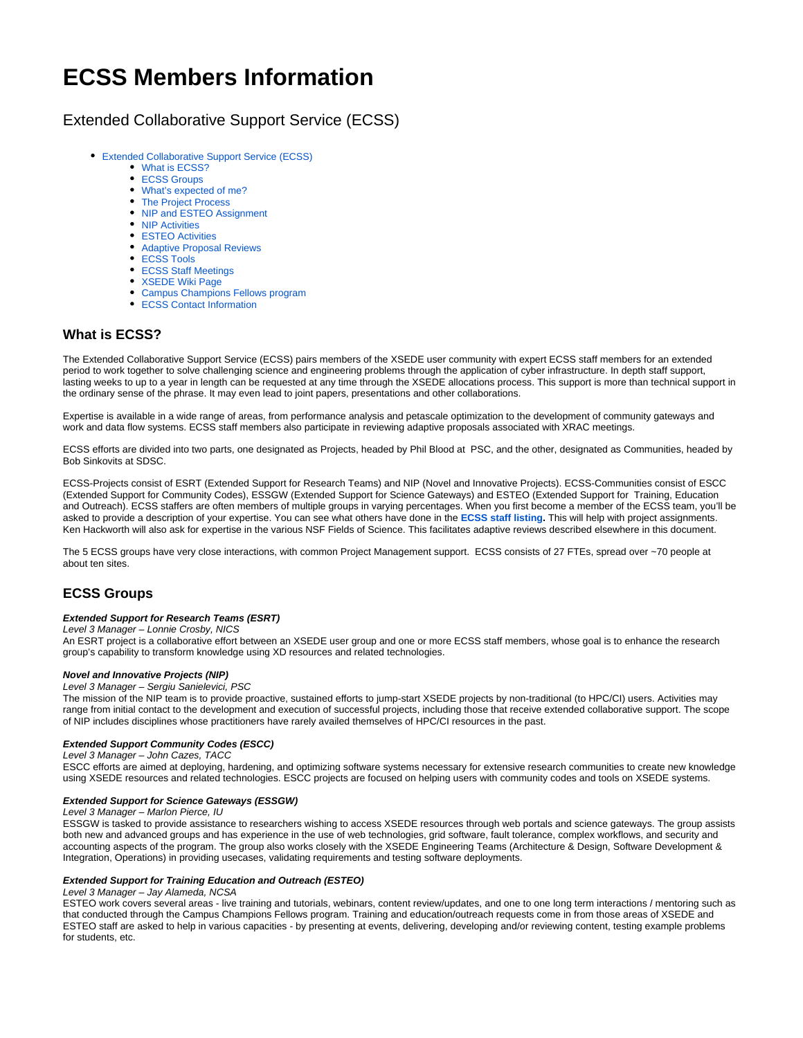# **ECSS Members Information**

# <span id="page-0-0"></span>Extended Collaborative Support Service (ECSS)

- [Extended Collaborative Support Service \(ECSS\)](#page-0-0)
	- [What is ECSS?](#page-0-1)
	- **[ECSS Groups](#page-0-2)**
	- [What's expected of me?](#page-0-3)
	- [The Project Process](#page-1-0)
	- [NIP and ESTEO Assignment](#page-2-0)
	- **[NIP Activities](#page-2-1)**
	- [ESTEO Activities](#page-3-0)
	- [Adaptive Proposal Reviews](#page-3-1)
	- [ECSS Tools](#page-3-2)
	- [ECSS Staff Meetings](#page-3-3)
	- [XSEDE Wiki Page](#page-3-4)
	- [Campus Champions Fellows program](#page-3-5)
	- [ECSS Contact Information](#page-3-6)

# <span id="page-0-1"></span>**What is ECSS?**

The Extended Collaborative Support Service (ECSS) pairs members of the XSEDE user community with expert ECSS staff members for an extended period to work together to solve challenging science and engineering problems through the application of cyber infrastructure. In depth staff support, lasting weeks to up to a year in length can be requested at any time through the XSEDE allocations process. This support is more than technical support in the ordinary sense of the phrase. It may even lead to joint papers, presentations and other collaborations.

Expertise is available in a wide range of areas, from performance analysis and petascale optimization to the development of community gateways and work and data flow systems. ECSS staff members also participate in reviewing adaptive proposals associated with XRAC meetings.

ECSS efforts are divided into two parts, one designated as Projects, headed by Phil Blood at PSC, and the other, designated as Communities, headed by Bob Sinkovits at SDSC.

ECSS-Projects consist of ESRT (Extended Support for Research Teams) and NIP (Novel and Innovative Projects). ECSS-Communities consist of ESCC (Extended Support for Community Codes), ESSGW (Extended Support for Science Gateways) and ESTEO (Extended Support for Training, Education and Outreach). ECSS staffers are often members of multiple groups in varying percentages. When you first become a member of the ECSS team, you'll be asked to provide a description of your expertise. You can see what others have done in the **[ECSS staff listing](https://confluence.xsede.org/pages/viewpage.action?pageId=2491129).** This will help with project assignments. Ken Hackworth will also ask for expertise in the various NSF Fields of Science. This facilitates adaptive reviews described elsewhere in this document.

The 5 ECSS groups have very close interactions, with common Project Management support. ECSS consists of 27 FTEs, spread over ~70 people at about ten sites.

# <span id="page-0-2"></span>**ECSS Groups**

#### **Extended Support for Research Teams (ESRT)**

Level 3 Manager – Lonnie Crosby, NICS

An ESRT project is a collaborative effort between an XSEDE user group and one or more ECSS staff members, whose goal is to enhance the research group's capability to transform knowledge using XD resources and related technologies.

#### **Novel and Innovative Projects (NIP)**

#### Level 3 Manager – Sergiu Sanielevici, PSC

The mission of the NIP team is to provide proactive, sustained efforts to jump-start XSEDE projects by non-traditional (to HPC/CI) users. Activities may range from initial contact to the development and execution of successful projects, including those that receive extended collaborative support. The scope of NIP includes disciplines whose practitioners have rarely availed themselves of HPC/CI resources in the past.

### **Extended Support Community Codes (ESCC)**

Level 3 Manager – John Cazes, TACC

ESCC efforts are aimed at deploying, hardening, and optimizing software systems necessary for extensive research communities to create new knowledge using XSEDE resources and related technologies. ESCC projects are focused on helping users with community codes and tools on XSEDE systems.

#### **Extended Support for Science Gateways (ESSGW)**

#### Level 3 Manager – Marlon Pierce, IU

ESSGW is tasked to provide assistance to researchers wishing to access XSEDE resources through web portals and science gateways. The group assists both new and advanced groups and has experience in the use of web technologies, grid software, fault tolerance, complex workflows, and security and accounting aspects of the program. The group also works closely with the XSEDE Engineering Teams (Architecture & Design, Software Development & Integration, Operations) in providing usecases, validating requirements and testing software deployments.

#### **Extended Support for Training Education and Outreach (ESTEO)**

#### Level 3 Manager – Jay Alameda, NCSA

<span id="page-0-3"></span>ESTEO work covers several areas - live training and tutorials, webinars, content review/updates, and one to one long term interactions / mentoring such as that conducted through the Campus Champions Fellows program. Training and education/outreach requests come in from those areas of XSEDE and ESTEO staff are asked to help in various capacities - by presenting at events, delivering, developing and/or reviewing content, testing example problems for students, etc.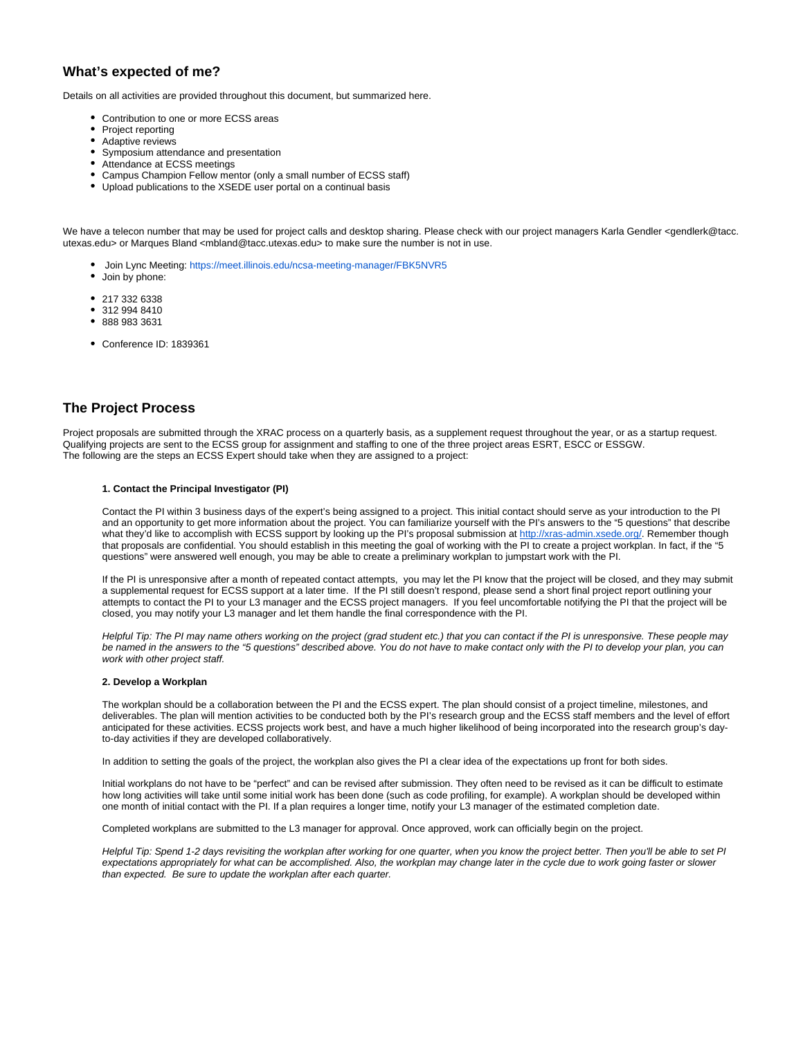# **What's expected of me?**

Details on all activities are provided throughout this document, but summarized here.

- Contribution to one or more ECSS areas
- $\bullet$ Project reporting
- Adaptive reviews
- Symposium attendance and presentation
- Attendance at ECSS meetings
- Campus Champion Fellow mentor (only a small number of ECSS staff)
- Upload publications to the XSEDE user portal on a continual basis

We have a telecon number that may be used for project calls and desktop sharing. Please check with our project managers Karla Gendler <gendlerk@tacc. utexas.edu> or Marques Bland <mbland@tacc.utexas.edu> to make sure the number is not in use.

- Join Lync Meeting: <https://meet.illinois.edu/ncsa-meeting-manager/FBK5NVR5> • Join by phone:
- 
- $•$  217 332 6338
- 312 994 8410 888 983 3631
- 
- Conference ID: 1839361

# <span id="page-1-0"></span>**The Project Process**

Project proposals are submitted through the XRAC process on a quarterly basis, as a supplement request throughout the year, or as a startup request. Qualifying projects are sent to the ECSS group for assignment and staffing to one of the three project areas ESRT, ESCC or ESSGW. The following are the steps an ECSS Expert should take when they are assigned to a project:

#### **1. Contact the Principal Investigator (PI)**

Contact the PI within 3 business days of the expert's being assigned to a project. This initial contact should serve as your introduction to the PI and an opportunity to get more information about the project. You can familiarize yourself with the PI's answers to the "5 questions" that describe what they'd like to accomplish with ECSS support by looking up the PI's proposal submission at<http://xras-admin.xsede.org/>. Remember though that proposals are confidential. You should establish in this meeting the goal of working with the PI to create a project workplan. In fact, if the "5 questions" were answered well enough, you may be able to create a preliminary workplan to jumpstart work with the PI.

If the PI is unresponsive after a month of repeated contact attempts, you may let the PI know that the project will be closed, and they may submit a supplemental request for ECSS support at a later time. If the PI still doesn't respond, please send a short final project report outlining your attempts to contact the PI to your L3 manager and the ECSS project managers. If you feel uncomfortable notifying the PI that the project will be closed, you may notify your L3 manager and let them handle the final correspondence with the PI.

Helpful Tip: The PI may name others working on the project (grad student etc.) that you can contact if the PI is unresponsive. These people may be named in the answers to the "5 questions" described above. You do not have to make contact only with the PI to develop your plan, you can work with other project staff.

#### **2. Develop a Workplan**

The workplan should be a collaboration between the PI and the ECSS expert. The plan should consist of a project timeline, milestones, and deliverables. The plan will mention activities to be conducted both by the PI's research group and the ECSS staff members and the level of effort anticipated for these activities. ECSS projects work best, and have a much higher likelihood of being incorporated into the research group's dayto-day activities if they are developed collaboratively.

In addition to setting the goals of the project, the workplan also gives the PI a clear idea of the expectations up front for both sides.

Initial workplans do not have to be "perfect" and can be revised after submission. They often need to be revised as it can be difficult to estimate how long activities will take until some initial work has been done (such as code profiling, for example). A workplan should be developed within one month of initial contact with the PI. If a plan requires a longer time, notify your L3 manager of the estimated completion date.

Completed workplans are submitted to the L3 manager for approval. Once approved, work can officially begin on the project.

Helpful Tip: Spend 1-2 days revisiting the workplan after working for one quarter, when you know the project better. Then you'll be able to set PI expectations appropriately for what can be accomplished. Also, the workplan may change later in the cycle due to work going faster or slower than expected. Be sure to update the workplan after each quarter.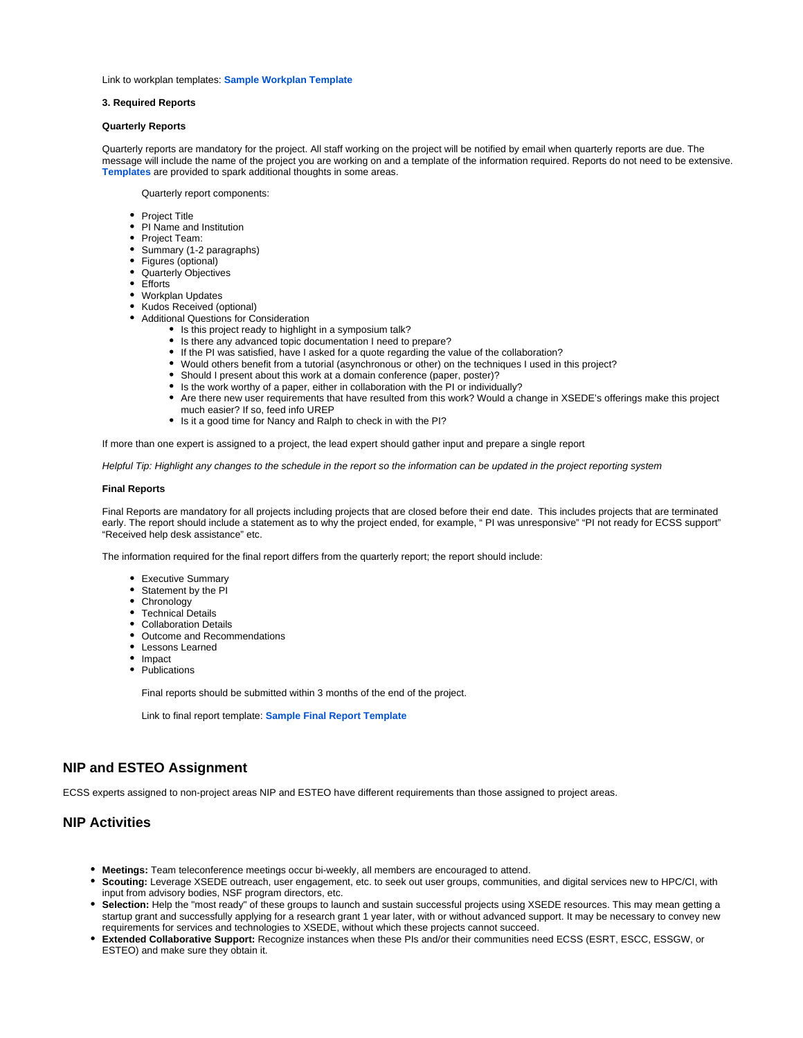Link to workplan templates: **[Sample Workplan Template](https://confluence.xsede.org/display/XT/Sample+Workplan+Template)**

#### **3. Required Reports**

#### **Quarterly Reports**

Quarterly reports are mandatory for the project. All staff working on the project will be notified by email when quarterly reports are due. The message will include the name of the project you are working on and a template of the information required. Reports do not need to be extensive. **[Templates](https://confluence.xsede.org/display/XT/Sample+Quarterly+Report+Template)** are provided to spark additional thoughts in some areas.

Quarterly report components:

- Project Title
- PI Name and Institution
- Project Team:
- Summary (1-2 paragraphs)
- Figures (optional)
- Quarterly Objectives
- Efforts
- Workplan Updates
- Kudos Received (optional)
- Additional Questions for Consideration
	- Is this project ready to highlight in a symposium talk?
	- Is there any advanced topic documentation I need to prepare?
	- If the PI was satisfied, have I asked for a quote regarding the value of the collaboration?
	- Would others benefit from a tutorial (asynchronous or other) on the techniques I used in this project?
	- Should I present about this work at a domain conference (paper, poster)?
	- Is the work worthy of a paper, either in collaboration with the PI or individually?
	- Are there new user requirements that have resulted from this work? Would a change in XSEDE's offerings make this project much easier? If so, feed info UREP
	- Is it a good time for Nancy and Ralph to check in with the PI?

If more than one expert is assigned to a project, the lead expert should gather input and prepare a single report

Helpful Tip: Highlight any changes to the schedule in the report so the information can be updated in the project reporting system

#### **Final Reports**

Final Reports are mandatory for all projects including projects that are closed before their end date. This includes projects that are terminated early. The report should include a statement as to why the project ended, for example, " PI was unresponsive" "PI not ready for ECSS support" "Received help desk assistance" etc.

The information required for the final report differs from the quarterly report; the report should include:

- Executive Summary
- Statement by the PI
- Chronology
- Technical Details
- Collaboration Details
- Outcome and Recommendations
- Lessons Learned
- Impact

• Publications

Final reports should be submitted within 3 months of the end of the project.

Link to final report template: **[Sample Final Report Template](https://confluence.xsede.org/display/XT/Sample+Final+Report+Template)**

### <span id="page-2-0"></span>**NIP and ESTEO Assignment**

ECSS experts assigned to non-project areas NIP and ESTEO have different requirements than those assigned to project areas.

### <span id="page-2-1"></span>**NIP Activities**

- **Meetings:** Team teleconference meetings occur bi-weekly, all members are encouraged to attend.
- **Scouting:** Leverage XSEDE outreach, user engagement, etc. to seek out user groups, communities, and digital services new to HPC/CI, with input from advisory bodies, NSF program directors, etc.
- **Selection:** Help the "most ready" of these groups to launch and sustain successful projects using XSEDE resources. This may mean getting a startup grant and successfully applying for a research grant 1 year later, with or without advanced support. It may be necessary to convey new requirements for services and technologies to XSEDE, without which these projects cannot succeed.
- **Extended Collaborative Support:** Recognize instances when these PIs and/or their communities need ECSS (ESRT, ESCC, ESSGW, or ESTEO) and make sure they obtain it.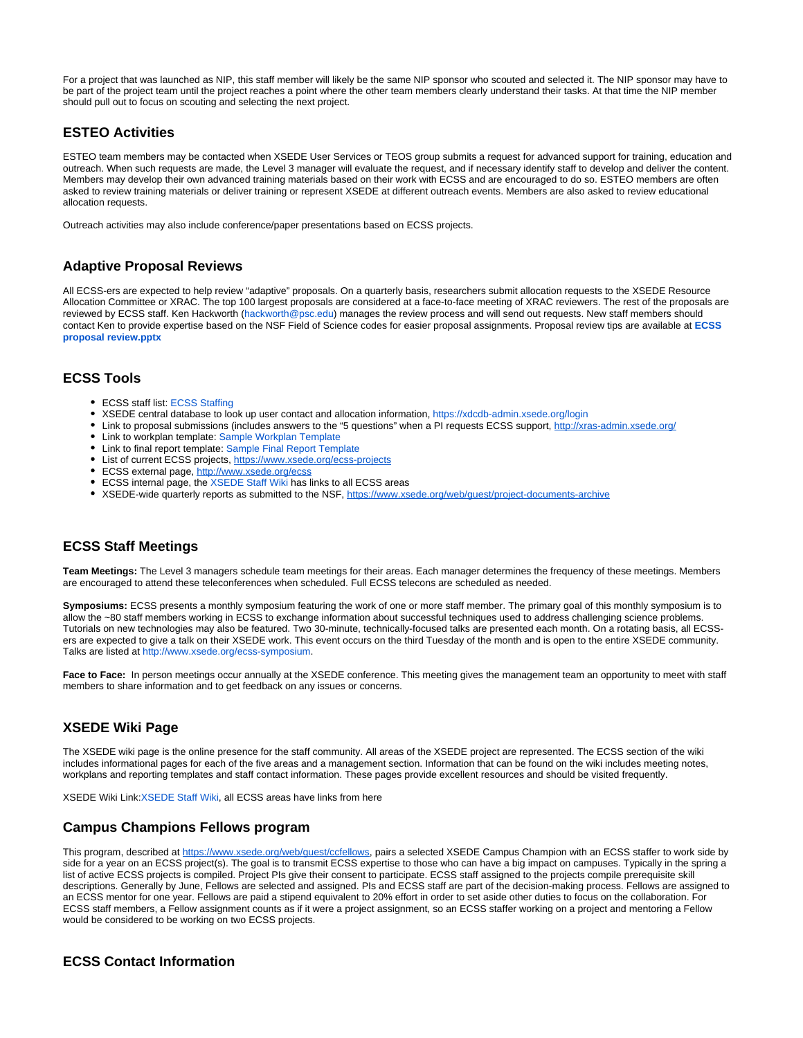For a project that was launched as NIP, this staff member will likely be the same NIP sponsor who scouted and selected it. The NIP sponsor may have to be part of the project team until the project reaches a point where the other team members clearly understand their tasks. At that time the NIP member should pull out to focus on scouting and selecting the next project.

# <span id="page-3-0"></span>**ESTEO Activities**

ESTEO team members may be contacted when XSEDE User Services or TEOS group submits a request for advanced support for training, education and outreach. When such requests are made, the Level 3 manager will evaluate the request, and if necessary identify staff to develop and deliver the content. Members may develop their own advanced training materials based on their work with ECSS and are encouraged to do so. ESTEO members are often asked to review training materials or deliver training or represent XSEDE at different outreach events. Members are also asked to review educational allocation requests.

Outreach activities may also include conference/paper presentations based on ECSS projects.

### <span id="page-3-1"></span>**Adaptive Proposal Reviews**

All ECSS-ers are expected to help review "adaptive" proposals. On a quarterly basis, researchers submit allocation requests to the XSEDE Resource Allocation Committee or XRAC. The top 100 largest proposals are considered at a face-to-face meeting of XRAC reviewers. The rest of the proposals are reviewed by ECSS staff. Ken Hackworth (hackworth@psc.edu) manages the review process and will send out requests. New staff members should contact Ken to provide expertise based on the NSF Field of Science codes for easier proposal assignments. Proposal review tips are available at **[ECSS](https://confluence.xsede.org/download/attachments/1671931/ECSS%20proposal%20review.pptx?version=1&modificationDate=1487015692000&api=v2)  [proposal review.pptx](https://confluence.xsede.org/download/attachments/1671931/ECSS%20proposal%20review.pptx?version=1&modificationDate=1487015692000&api=v2)**

## <span id="page-3-2"></span>**ECSS Tools**

- ECSS staff list: [ECSS Staffing](https://confluence.xsede.org/pages/viewpage.action?pageId=2491129)
- XSEDE central database to look up user contact and allocation information,<https://xdcdb-admin.xsede.org/login>
- Link to proposal submissions (includes answers to the "5 questions" when a PI requests ECSS support, <http://xras-admin.xsede.org/>
- Link to workplan template: [Sample Workplan Template](https://confluence.xsede.org/display/XT/Sample+Workplan+Template)
- Link to final report template: [Sample Final Report Template](https://confluence.xsede.org/display/XT/Sample+Final+Report+Template)
- List of current ECSS projects,<https://www.xsede.org/ecss-projects>
- ECSS external page,<http://www.xsede.org/ecss>
- ECSS internal page, the [XSEDE Staff Wiki](https://confluence.xsede.org/display/XT/XSEDE+Staff+Wiki) has links to all ECSS areas
- \* XSEDE-wide quarterly reports as submitted to the NSF, <https://www.xsede.org/web/guest/project-documents-archive>

## <span id="page-3-3"></span>**ECSS Staff Meetings**

**Team Meetings:** The Level 3 managers schedule team meetings for their areas. Each manager determines the frequency of these meetings. Members are encouraged to attend these teleconferences when scheduled. Full ECSS telecons are scheduled as needed.

**Symposiums:** ECSS presents a monthly symposium featuring the work of one or more staff member. The primary goal of this monthly symposium is to allow the ~80 staff members working in ECSS to exchange information about successful techniques used to address challenging science problems. Tutorials on new technologies may also be featured. Two 30-minute, technically-focused talks are presented each month. On a rotating basis, all ECSSers are expected to give a talk on their XSEDE work. This event occurs on the third Tuesday of the month and is open to the entire XSEDE community. Talks are listed at [http://www.xsede.org/ecss-symposium.](http://www.xsede.org/ecss-symposium)

Face to Face: In person meetings occur annually at the XSEDE conference. This meeting gives the management team an opportunity to meet with staff members to share information and to get feedback on any issues or concerns.

# <span id="page-3-4"></span>**XSEDE Wiki Page**

The XSEDE wiki page is the online presence for the staff community. All areas of the XSEDE project are represented. The ECSS section of the wiki includes informational pages for each of the five areas and a management section. Information that can be found on the wiki includes meeting notes, workplans and reporting templates and staff contact information. These pages provide excellent resources and should be visited frequently.

XSEDE Wiki Link:[XSEDE Staff Wiki,](https://confluence.xsede.org/display/XT/XSEDE+Staff+Wiki) all ECSS areas have links from here

### <span id="page-3-5"></span>**Campus Champions Fellows program**

This program, described at https://www.xsede.org/web/quest/ccfellows, pairs a selected XSEDE Campus Champion with an ECSS staffer to work side by side for a year on an ECSS project(s). The goal is to transmit ECSS expertise to those who can have a big impact on campuses. Typically in the spring a list of active ECSS projects is compiled. Project PIs give their consent to participate. ECSS staff assigned to the projects compile prerequisite skill descriptions. Generally by June, Fellows are selected and assigned. PIs and ECSS staff are part of the decision-making process. Fellows are assigned to an ECSS mentor for one year. Fellows are paid a stipend equivalent to 20% effort in order to set aside other duties to focus on the collaboration. For ECSS staff members, a Fellow assignment counts as if it were a project assignment, so an ECSS staffer working on a project and mentoring a Fellow would be considered to be working on two ECSS projects.

### <span id="page-3-6"></span>**ECSS Contact Information**